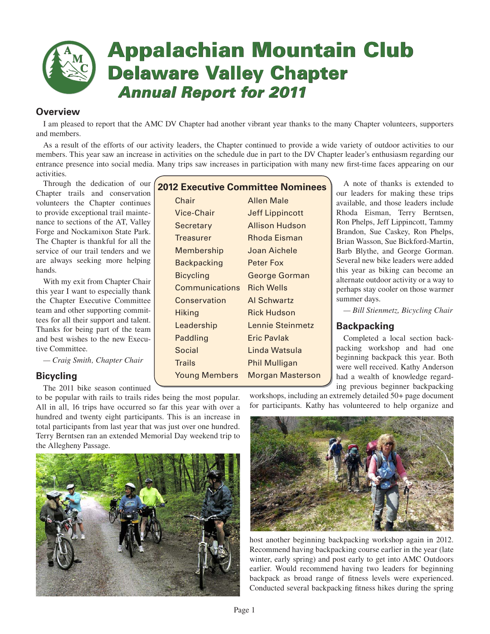

# **Appalachian Mountain Club Delaware Valley Chapter Annual Report for 2011**

# **Overview**

I am pleased to report that the AMC DV Chapter had another vibrant year thanks to the many Chapter volunteers, supporters and members.

As a result of the efforts of our activity leaders, the Chapter continued to provide a wide variety of outdoor activities to our members. This year saw an increase in activities on the schedule due in part to the DV Chapter leader's enthusiasm regarding our entrance presence into social media. Many trips saw increases in participation with many new first-time faces appearing on our activities.

Through the dedication of our Chapter trails and conservation volunteers the Chapter continues to provide exceptional trail maintenance to sections of the AT, Valley Forge and Nockamixon State Park. The Chapter is thankful for all the service of our trail tenders and we are always seeking more helping hands.

With my exit from Chapter Chair this year I want to especially thank the Chapter Executive Committee team and other supporting committees for all their support and talent. Thanks for being part of the team and best wishes to the new Executive Committee.

*— Craig Smith, Chapter Chair*

# **Bicycling**

The 2011 bike season continued

to be popular with rails to trails rides being the most popular. All in all, 16 trips have occurred so far this year with over a hundred and twenty eight participants. This is an increase in total participants from last year that was just over one hundred. Terry Berntsen ran an extended Memorial Day weekend trip to the Allegheny Passage.



# **2012 Executive Committee Nominees**

Chair **Allen Male** Vice-Chair Jeff Lippincott Secretary Allison Hudson Treasurer Rhoda Eisman Membership Joan Aichele Backpacking Peter Fox Bicycling George Gorman Communications Rich Wells Conservation Al Schwartz Hiking Rick Hudson Leadership Lennie Steinmetz Paddling **Eric Pavlak** Social Linda Watsula Trails Phil Mulligan Young Members Morgan Masterson

A note of thanks is extended to our leaders for making these trips available, and those leaders include Rhoda Eisman, Terry Berntsen, Ron Phelps, Jeff Lippincott, Tammy Brandon, Sue Caskey, Ron Phelps, Brian Wasson, Sue Bickford-Martin, Barb Blythe, and George Gorman. Several new bike leaders were added this year as biking can become an alternate outdoor activity or a way to perhaps stay cooler on those warmer summer days.

*— Bill Stienmetz, Bicycling Chair*

# **Backpacking**

Completed a local section backpacking workshop and had one beginning backpack this year. Both were well received. Kathy Anderson had a wealth of knowledge regarding previous beginner backpacking

workshops, including an extremely detailed 50+ page document for participants. Kathy has volunteered to help organize and



host another beginning backpacking workshop again in 2012. Recommend having backpacking course earlier in the year (late winter, early spring) and post early to get into AMC Outdoors earlier. Would recommend having two leaders for beginning backpack as broad range of fitness levels were experienced. Conducted several backpacking fitness hikes during the spring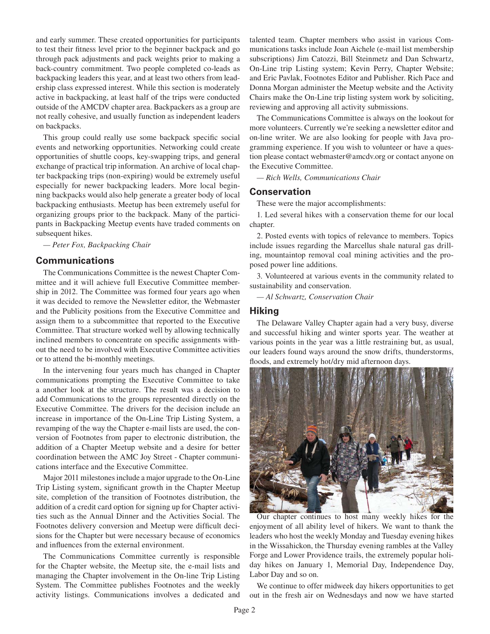and early summer. These created opportunities for participants to test their fitness level prior to the beginner backpack and go through pack adjustments and pack weights prior to making a back-country commitment. Two people completed co-leads as backpacking leaders this year, and at least two others from leadership class expressed interest. While this section is moderately active in backpacking, at least half of the trips were conducted outside of the AMCDV chapter area. Backpackers as a group are not really cohesive, and usually function as independent leaders on backpacks.

This group could really use some backpack specific social events and networking opportunities. Networking could create opportunities of shuttle coops, key-swapping trips, and general exchange of practical trip information. An archive of local chapter backpacking trips (non-expiring) would be extremely useful especially for newer backpacking leaders. More local beginning backpacks would also help generate a greater body of local backpacking enthusiasts. Meetup has been extremely useful for organizing groups prior to the backpack. Many of the participants in Backpacking Meetup events have traded comments on subsequent hikes.

*— Peter Fox, Backpacking Chair*

## **Communications**

The Communications Committee is the newest Chapter Committee and it will achieve full Executive Committee membership in 2012. The Committee was formed four years ago when it was decided to remove the Newsletter editor, the Webmaster and the Publicity positions from the Executive Committee and assign them to a subcommittee that reported to the Executive Committee. That structure worked well by allowing technically inclined members to concentrate on specific assignments without the need to be involved with Executive Committee activities or to attend the bi-monthly meetings.

In the intervening four years much has changed in Chapter communications prompting the Executive Committee to take a another look at the structure. The result was a decision to add Communications to the groups represented directly on the Executive Committee. The drivers for the decision include an increase in importance of the On-Line Trip Listing System, a revamping of the way the Chapter e-mail lists are used, the conversion of Footnotes from paper to electronic distribution, the addition of a Chapter Meetup website and a desire for better coordination between the AMC Joy Street - Chapter communications interface and the Executive Committee.

Major 2011 milestones include a major upgrade to the On-Line Trip Listing system, significant growth in the Chapter Meetup site, completion of the transition of Footnotes distribution, the addition of a credit card option for signing up for Chapter activities such as the Annual Dinner and the Activities Social. The Footnotes delivery conversion and Meetup were difficult decisions for the Chapter but were necessary because of economics and influences from the external environment.

The Communications Committee currently is responsible for the Chapter website, the Meetup site, the e-mail lists and managing the Chapter involvement in the On-line Trip Listing System. The Committee publishes Footnotes and the weekly activity listings. Communications involves a dedicated and talented team. Chapter members who assist in various Communications tasks include Joan Aichele (e-mail list membership subscriptions) Jim Catozzi, Bill Steinmetz and Dan Schwartz, On-Line trip Listing system; Kevin Perry, Chapter Website; and Eric Pavlak, Footnotes Editor and Publisher. Rich Pace and Donna Morgan administer the Meetup website and the Activity Chairs make the On-Line trip listing system work by soliciting, reviewing and approving all activity submissions.

The Communications Committee is always on the lookout for more volunteers. Currently we're seeking a newsletter editor and on-line writer. We are also looking for people with Java programming experience. If you wish to volunteer or have a question please contact webmaster@amcdv.org or contact anyone on the Executive Committee.

*— Rich Wells, Communications Chair*

## **Conservation**

These were the major accomplishments:

1. Led several hikes with a conservation theme for our local chapter.

2. Posted events with topics of relevance to members. Topics include issues regarding the Marcellus shale natural gas drilling, mountaintop removal coal mining activities and the proposed power line additions.

3. Volunteered at various events in the community related to sustainability and conservation.

*— Al Schwartz, Conservation Chair*

## **Hiking**

The Delaware Valley Chapter again had a very busy, diverse and successful hiking and winter sports year. The weather at various points in the year was a little restraining but, as usual, our leaders found ways around the snow drifts, thunderstorms, floods, and extremely hot/dry mid afternoon days.



Our chapter continues to host many weekly hikes for the enjoyment of all ability level of hikers. We want to thank the leaders who host the weekly Monday and Tuesday evening hikes in the Wissahickon, the Thursday evening rambles at the Valley Forge and Lower Providence trails, the extremely popular holiday hikes on January 1, Memorial Day, Independence Day, Labor Day and so on.

We continue to offer midweek day hikers opportunities to get out in the fresh air on Wednesdays and now we have started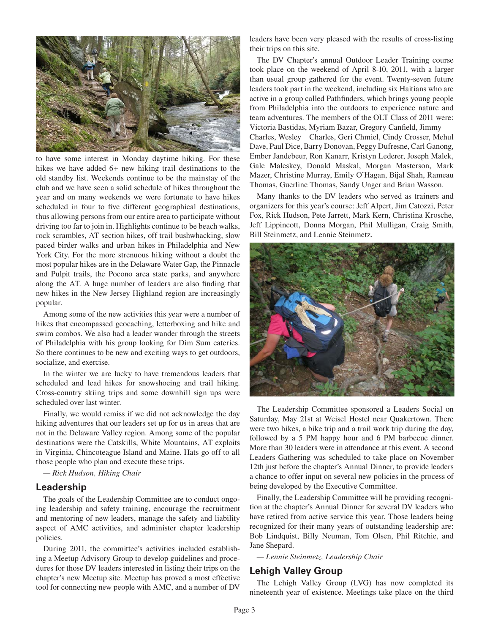

to have some interest in Monday daytime hiking. For these hikes we have added  $6+$  new hiking trail destinations to the old standby list. Weekends continue to be the mainstay of the club and we have seen a solid schedule of hikes throughout the year and on many weekends we were fortunate to have hikes scheduled in four to five different geographical destinations, thus allowing persons from our entire area to participate without driving too far to join in. Highlights continue to be beach walks, rock scrambles, AT section hikes, off trail bushwhacking, slow paced birder walks and urban hikes in Philadelphia and New York City. For the more strenuous hiking without a doubt the most popular hikes are in the Delaware Water Gap, the Pinnacle and Pulpit trails, the Pocono area state parks, and anywhere along the AT. A huge number of leaders are also finding that new hikes in the New Jersey Highland region are increasingly popular.

Among some of the new activities this year were a number of hikes that encompassed geocaching, letterboxing and hike and swim combos. We also had a leader wander through the streets of Philadelphia with his group looking for Dim Sum eateries. So there continues to be new and exciting ways to get outdoors, socialize, and exercise.

In the winter we are lucky to have tremendous leaders that scheduled and lead hikes for snowshoeing and trail hiking. Cross-country skiing trips and some downhill sign ups were scheduled over last winter.

Finally, we would remiss if we did not acknowledge the day hiking adventures that our leaders set up for us in areas that are not in the Delaware Valley region. Among some of the popular destinations were the Catskills, White Mountains, AT exploits in Virginia, Chincoteague Island and Maine. Hats go off to all those people who plan and execute these trips.

*— Rick Hudson, Hiking Chair*

## **Leadership**

The goals of the Leadership Committee are to conduct ongoing leadership and safety training, encourage the recruitment and mentoring of new leaders, manage the safety and liability aspect of AMC activities, and administer chapter leadership policies.

During 2011, the committee's activities included establishing a Meetup Advisory Group to develop guidelines and procedures for those DV leaders interested in listing their trips on the chapter's new Meetup site. Meetup has proved a most effective tool for connecting new people with AMC, and a number of DV leaders have been very pleased with the results of cross-listing their trips on this site.

The DV Chapter's annual Outdoor Leader Training course took place on the weekend of April 8-10, 2011, with a larger than usual group gathered for the event. Twenty-seven future leaders took part in the weekend, including six Haitians who are active in a group called Pathfinders, which brings young people from Philadelphia into the outdoors to experience nature and team adventures. The members of the OLT Class of 2011 were: Victoria Bastidas, Myriam Bazar, Gregory Canfield, Jimmy Charles, Wesley Charles, Geri Chmiel, Cindy Crosser, Mehul Dave, Paul Dice, Barry Donovan, Peggy Dufresne, Carl Ganong, Ember Jandebeur, Ron Kanarr, Kristyn Lederer, Joseph Malek, Gale Maleskey, Donald Maskal, Morgan Masterson, Mark Mazer, Christine Murray, Emily O'Hagan, Bijal Shah, Rameau Thomas, Guerline Thomas, Sandy Unger and Brian Wasson.

Many thanks to the DV leaders who served as trainers and organizers for this year's course: Jeff Alpert, Jim Catozzi, Peter Fox, Rick Hudson, Pete Jarrett, Mark Kern, Christina Krosche, Jeff Lippincott, Donna Morgan, Phil Mulligan, Craig Smith, Bill Steinmetz, and Lennie Steinmetz.



The Leadership Committee sponsored a Leaders Social on Saturday, May 21st at Weisel Hostel near Quakertown. There were two hikes, a bike trip and a trail work trip during the day, followed by a 5 PM happy hour and 6 PM barbecue dinner. More than 30 leaders were in attendance at this event. A second Leaders Gathering was scheduled to take place on November 12th just before the chapter's Annual Dinner, to provide leaders a chance to offer input on several new policies in the process of being developed by the Executive Committee.

Finally, the Leadership Committee will be providing recognition at the chapter's Annual Dinner for several DV leaders who have retired from active service this year. Those leaders being recognized for their many years of outstanding leadership are: Bob Lindquist, Billy Neuman, Tom Olsen, Phil Ritchie, and Jane Shepard.

*— Lennie Steinmetz, Leadership Chair*

## **Lehigh Valley Group**

The Lehigh Valley Group (LVG) has now completed its nineteenth year of existence. Meetings take place on the third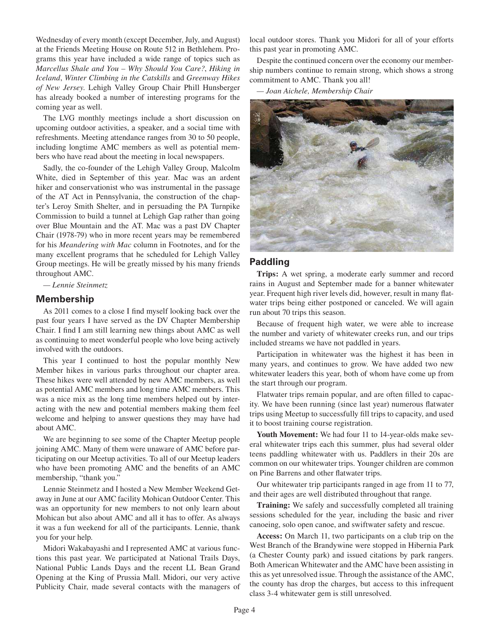Wednesday of every month (except December, July, and August) at the Friends Meeting House on Route 512 in Bethlehem. Programs this year have included a wide range of topics such as *Marcellus Shale and You – Why Should You Care?*, *Hiking in Iceland*, *Winter Climbing in the Catskills* and *Greenway Hikes of New Jersey*. Lehigh Valley Group Chair Phill Hunsberger has already booked a number of interesting programs for the coming year as well.

The LVG monthly meetings include a short discussion on upcoming outdoor activities, a speaker, and a social time with refreshments. Meeting attendance ranges from 30 to 50 people, including longtime AMC members as well as potential members who have read about the meeting in local newspapers.

Sadly, the co-founder of the Lehigh Valley Group, Malcolm White, died in September of this year. Mac was an ardent hiker and conservationist who was instrumental in the passage of the AT Act in Pennsylvania, the construction of the chapter's Leroy Smith Shelter, and in persuading the PA Turnpike Commission to build a tunnel at Lehigh Gap rather than going over Blue Mountain and the AT. Mac was a past DV Chapter Chair (1978-79) who in more recent years may be remembered for his *Meandering with Mac* column in Footnotes, and for the many excellent programs that he scheduled for Lehigh Valley Group meetings. He will be greatly missed by his many friends throughout AMC.

*— Lennie Steinmetz*

## **Membership**

As 2011 comes to a close I find myself looking back over the past four years I have served as the DV Chapter Membership Chair. I find I am still learning new things about AMC as well as continuing to meet wonderful people who love being actively involved with the outdoors.

This year I continued to host the popular monthly New Member hikes in various parks throughout our chapter area. These hikes were well attended by new AMC members, as well as potential AMC members and long time AMC members. This was a nice mix as the long time members helped out by interacting with the new and potential members making them feel welcome and helping to answer questions they may have had about AMC.

We are beginning to see some of the Chapter Meetup people joining AMC. Many of them were unaware of AMC before participating on our Meetup activities. To all of our Meetup leaders who have been promoting AMC and the benefits of an AMC membership, "thank you."

Lennie Steinmetz and I hosted a New Member Weekend Getaway in June at our AMC facility Mohican Outdoor Center. This was an opportunity for new members to not only learn about Mohican but also about AMC and all it has to offer. As always it was a fun weekend for all of the participants. Lennie, thank you for your help.

Midori Wakabayashi and I represented AMC at various functions this past year. We participated at National Trails Days, National Public Lands Days and the recent LL Bean Grand Opening at the King of Prussia Mall. Midori, our very active Publicity Chair, made several contacts with the managers of local outdoor stores. Thank you Midori for all of your efforts this past year in promoting AMC.

Despite the continued concern over the economy our membership numbers continue to remain strong, which shows a strong commitment to AMC. Thank you all!

*— Joan Aichele, Membership Chair*



## **Paddling**

**Trips:** A wet spring, a moderate early summer and record rains in August and September made for a banner whitewater year. Frequent high river levels did, however, result in many flatwater trips being either postponed or canceled. We will again run about 70 trips this season.

Because of frequent high water, we were able to increase the number and variety of whitewater creeks run, and our trips included streams we have not paddled in years.

Participation in whitewater was the highest it has been in many years, and continues to grow. We have added two new whitewater leaders this year, both of whom have come up from the start through our program.

Flatwater trips remain popular, and are often filled to capacity. We have been running (since last year) numerous flatwater trips using Meetup to successfully fill trips to capacity, and used it to boost training course registration.

**Youth Movement:** We had four 11 to 14-year-olds make several whitewater trips each this summer, plus had several older teens paddling whitewater with us. Paddlers in their 20s are common on our whitewater trips. Younger children are common on Pine Barrens and other flatwater trips.

Our whitewater trip participants ranged in age from 11 to 77, and their ages are well distributed throughout that range.

**Training:** We safely and successfully completed all training sessions scheduled for the year, including the basic and river canoeing, solo open canoe, and swiftwater safety and rescue.

**Access:** On March 11, two participants on a club trip on the West Branch of the Brandywine were stopped in Hibernia Park (a Chester County park) and issued citations by park rangers. Both American Whitewater and the AMC have been assisting in this as yet unresolved issue. Through the assistance of the AMC, the county has drop the charges, but access to this infrequent class 3-4 whitewater gem is still unresolved.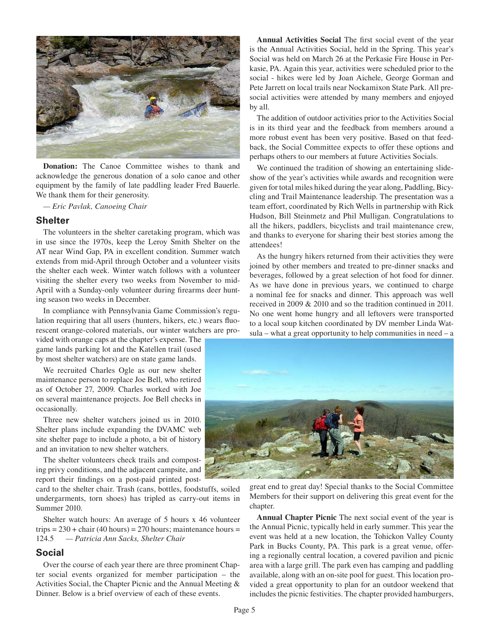

**Donation:** The Canoe Committee wishes to thank and acknowledge the generous donation of a solo canoe and other equipment by the family of late paddling leader Fred Bauerle. We thank them for their generosity*.*

*— Eric Pavlak, Canoeing Chair*

## **Shelter**

The volunteers in the shelter caretaking program, which was in use since the 1970s, keep the Leroy Smith Shelter on the AT near Wind Gap, PA in excellent condition. Summer watch extends from mid-April through October and a volunteer visits the shelter each week. Winter watch follows with a volunteer visiting the shelter every two weeks from November to mid-April with a Sunday-only volunteer during firearms deer hunting season two weeks in December.

In compliance with Pennsylvania Game Commission's regulation requiring that all users (hunters, hikers, etc.) wears fluorescent orange-colored materials, our winter watchers are pro-

vided with orange caps at the chapter's expense. The game lands parking lot and the Katellen trail (used by most shelter watchers) are on state game lands.

We recruited Charles Ogle as our new shelter maintenance person to replace Joe Bell, who retired as of October 27, 2009. Charles worked with Joe on several maintenance projects. Joe Bell checks in occasionally.

Three new shelter watchers joined us in 2010. Shelter plans include expanding the DVAMC web site shelter page to include a photo, a bit of history and an invitation to new shelter watchers.

The shelter volunteers check trails and composting privy conditions, and the adjacent campsite, and report their findings on a post-paid printed post-

card to the shelter chair. Trash (cans, bottles, foodstuffs, soiled undergarments, torn shoes) has tripled as carry-out items in Summer 2010.

Shelter watch hours: An average of 5 hours x 46 volunteer trips =  $230 +$  chair (40 hours) =  $270$  hours; maintenance hours = 124.5 *— Patricia Ann Sacks, Shelter Chair*

## **Social**

Over the course of each year there are three prominent Chapter social events organized for member participation – the Activities Social, the Chapter Picnic and the Annual Meeting & Dinner. Below is a brief overview of each of these events.

Annual Activities Social The first social event of the year is the Annual Activities Social, held in the Spring. This year's Social was held on March 26 at the Perkasie Fire House in Perkasie, PA. Again this year, activities were scheduled prior to the social - hikes were led by Joan Aichele, George Gorman and Pete Jarrett on local trails near Nockamixon State Park. All presocial activities were attended by many members and enjoyed by all.

The addition of outdoor activities prior to the Activities Social is in its third year and the feedback from members around a more robust event has been very positive. Based on that feedback, the Social Committee expects to offer these options and perhaps others to our members at future Activities Socials.

We continued the tradition of showing an entertaining slideshow of the year's activities while awards and recognition were given for total miles hiked during the year along, Paddling, Bicycling and Trail Maintenance leadership. The presentation was a team effort, coordinated by Rich Wells in partnership with Rick Hudson, Bill Steinmetz and Phil Mulligan. Congratulations to all the hikers, paddlers, bicyclists and trail maintenance crew, and thanks to everyone for sharing their best stories among the attendees!

As the hungry hikers returned from their activities they were joined by other members and treated to pre-dinner snacks and beverages, followed by a great selection of hot food for dinner. As we have done in previous years, we continued to charge a nominal fee for snacks and dinner. This approach was well received in 2009 & 2010 and so the tradition continued in 2011. No one went home hungry and all leftovers were transported to a local soup kitchen coordinated by DV member Linda Wat $sula$  – what a great opportunity to help communities in need – a



great end to great day! Special thanks to the Social Committee Members for their support on delivering this great event for the chapter.

**Annual Chapter Picnic** The next social event of the year is the Annual Picnic, typically held in early summer. This year the event was held at a new location, the Tohickon Valley County Park in Bucks County, PA. This park is a great venue, offering a regionally central location, a covered pavilion and picnic area with a large grill. The park even has camping and paddling available, along with an on-site pool for guest. This location provided a great opportunity to plan for an outdoor weekend that includes the picnic festivities. The chapter provided hamburgers,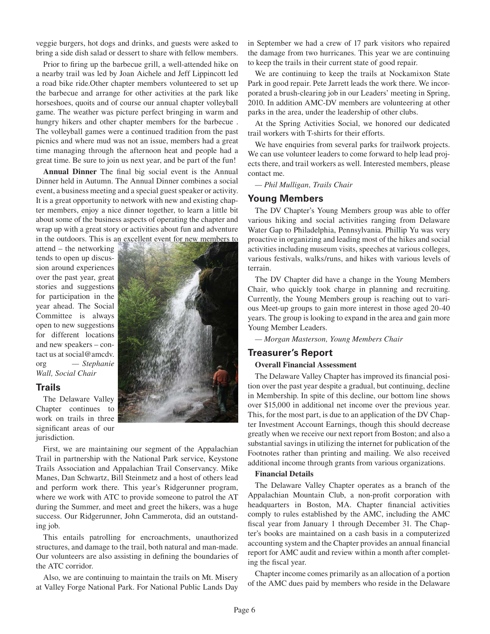veggie burgers, hot dogs and drinks, and guests were asked to bring a side dish salad or dessert to share with fellow members.

Prior to firing up the barbecue grill, a well-attended hike on a nearby trail was led by Joan Aichele and Jeff Lippincott led a road bike ride.Other chapter members volunteered to set up the barbecue and arrange for other activities at the park like horseshoes, quoits and of course our annual chapter volleyball game. The weather was picture perfect bringing in warm and hungry hikers and other chapter members for the barbecue . The volleyball games were a continued tradition from the past picnics and where mud was not an issue, members had a great time managing through the afternoon heat and people had a great time. Be sure to join us next year, and be part of the fun!

Annual Dinner The final big social event is the Annual Dinner held in Autumn. The Annual Dinner combines a social event, a business meeting and a special guest speaker or activity. It is a great opportunity to network with new and existing chapter members, enjoy a nice dinner together, to learn a little bit about some of the business aspects of operating the chapter and wrap up with a great story or activities about fun and adventure in the outdoors. This is an excellent event for new members to

attend – the networking tends to open up discussion around experiences over the past year, great stories and suggestions for participation in the year ahead. The Social Committee is always open to new suggestions for different locations and new speakers – contact us at social@amcdv. org *— Stephanie Wall, Social Chair*

## **Trails**

The Delaware Valley Chapter continues to work on trails in three significant areas of our jurisdiction.



First, we are maintaining our segment of the Appalachian Trail in partnership with the National Park service, Keystone Trails Association and Appalachian Trail Conservancy. Mike Manes, Dan Schwartz, Bill Steinmetz and a host of others lead and perform work there. This year's Ridgerunner program, where we work with ATC to provide someone to patrol the AT during the Summer, and meet and greet the hikers, was a huge success. Our Ridgerunner, John Cammerota, did an outstanding job.

This entails patrolling for encroachments, unauthorized structures, and damage to the trail, both natural and man-made. Our volunteers are also assisting in defining the boundaries of the ATC corridor.

Also, we are continuing to maintain the trails on Mt. Misery at Valley Forge National Park. For National Public Lands Day in September we had a crew of 17 park visitors who repaired the damage from two hurricanes. This year we are continuing to keep the trails in their current state of good repair.

We are continuing to keep the trails at Nockamixon State Park in good repair. Pete Jarrett leads the work there. We incorporated a brush-clearing job in our Leaders' meeting in Spring, 2010. In addition AMC-DV members are volunteering at other parks in the area, under the leadership of other clubs.

At the Spring Activities Social, we honored our dedicated trail workers with T-shirts for their efforts.

We have enquiries from several parks for trailwork projects. We can use volunteer leaders to come forward to help lead projects there, and trail workers as well. Interested members, please contact me.

*— Phil Mulligan, Trails Chair*

## **Young Members**

The DV Chapter's Young Members group was able to offer various hiking and social activities ranging from Delaware Water Gap to Philadelphia, Pennsylvania. Phillip Yu was very proactive in organizing and leading most of the hikes and social activities including museum visits, speeches at various colleges, various festivals, walks/runs, and hikes with various levels of terrain.

The DV Chapter did have a change in the Young Members Chair, who quickly took charge in planning and recruiting. Currently, the Young Members group is reaching out to various Meet-up groups to gain more interest in those aged 20-40 years. The group is looking to expand in the area and gain more Young Member Leaders.

*— Morgan Masterson, Young Members Chair*

## **Treasurer's Report**

#### **Overall Financial Assessment**

The Delaware Valley Chapter has improved its financial position over the past year despite a gradual, but continuing, decline in Membership. In spite of this decline, our bottom line shows over \$15,000 in additional net income over the previous year. This, for the most part, is due to an application of the DV Chapter Investment Account Earnings, though this should decrease greatly when we receive our next report from Boston; and also a substantial savings in utilizing the internet for publication of the Footnotes rather than printing and mailing. We also received additional income through grants from various organizations.

#### **Financial Details**

The Delaware Valley Chapter operates as a branch of the Appalachian Mountain Club, a non-profit corporation with headquarters in Boston, MA. Chapter financial activities comply to rules established by the AMC, including the AMC fiscal year from January 1 through December 31. The Chapter's books are maintained on a cash basis in a computerized accounting system and the Chapter provides an annual financial report for AMC audit and review within a month after completing the fiscal year.

Chapter income comes primarily as an allocation of a portion of the AMC dues paid by members who reside in the Delaware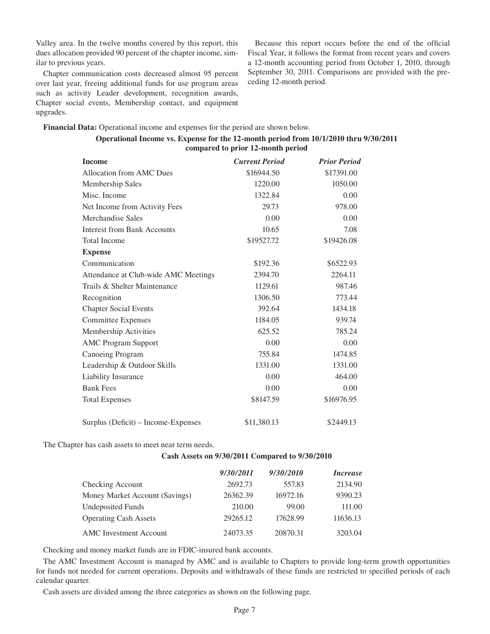Valley area. In the twelve months covered by this report, this dues allocation provided 90 percent of the chapter income, similar to previous years.

Chapter communication costs decreased almost 95 percent over last year, freeing additional funds for use program areas such as activity Leader development, recognition awards, Chapter social events, Membership contact, and equipment upgrades.

Because this report occurs before the end of the official Fiscal Year, it follows the format from recent years and covers a 12-month accounting period from October 1, 2010, through September 30, 2011. Comparisons are provided with the preceding 12-month period.

**Financial Data:** Operational income and expenses for the period are shown below.

| Operational Income vs. Expense for the 12-month period from 10/1/2010 thru 9/30/2011 |  |  |
|--------------------------------------------------------------------------------------|--|--|
| compared to prior 12-month period                                                    |  |  |

| <b>Income</b>                        | <b>Current Period</b> | <b>Prior Period</b> |
|--------------------------------------|-----------------------|---------------------|
| Allocation from AMC Dues             | \$16944.50            | \$17391.00          |
| Membership Sales                     | 1220.00               | 1050.00             |
| Misc. Income                         | 1322.84               | 0.00                |
| Net Income from Activity Fees        | 29.73                 | 978.00              |
| Merchandise Sales                    | 0.00                  | 0.00                |
| <b>Interest from Bank Accounts</b>   | 10.65                 | 7.08                |
| <b>Total Income</b>                  | \$19527.72            | \$19426.08          |
| <b>Expense</b>                       |                       |                     |
| Communication                        | \$192.36              | \$6522.93           |
| Attendance at Club-wide AMC Meetings | 2394.70               | 2264.11             |
| Trails & Shelter Maintenance         | 1129.61               | 987.46              |
| Recognition                          | 1306.50               | 773.44              |
| <b>Chapter Social Events</b>         | 392.64                | 1434.18             |
| <b>Committee Expenses</b>            | 1184.05               | 939.74              |
| Membership Activities                | 625.52                | 785.24              |
| <b>AMC Program Support</b>           | 0.00                  | 0.00                |
| Canoeing Program                     | 755.84                | 1474.85             |
| Leadership & Outdoor Skills          | 1331.00               | 1331.00             |
| Liability Insurance                  | 0.00                  | 464.00              |
| <b>Bank Fees</b>                     | 0.00                  | 0.00                |
| <b>Total Expenses</b>                | \$8147.59             | \$16976.95          |
| Surplus (Deficit) - Income-Expenses  | \$11,380.13           | \$2449.13           |

The Chapter has cash assets to meet near term needs.

#### **Cash Assets on 9/30/2011 Compared to 9/30/2010**

|                                | 9/30/2011 | 9/30/2010 | <i>Increase</i> |
|--------------------------------|-----------|-----------|-----------------|
| Checking Account               | 2692.73   | 557.83    | 2134.90         |
| Money Market Account (Savings) | 26362.39  | 16972.16  | 9390.23         |
| <b>Undeposited Funds</b>       | 210.00    | 99.00     | 111.00          |
| <b>Operating Cash Assets</b>   | 29265.12  | 17628.99  | 11636.13        |
| <b>AMC</b> Investment Account  | 24073.35  | 20870.31  | 3203.04         |

Checking and money market funds are in FDIC-insured bank accounts.

The AMC Investment Account is managed by AMC and is available to Chapters to provide long-term growth opportunities for funds not needed for current operations. Deposits and withdrawals of these funds are restricted to specified periods of each calendar quarter.

Cash assets are divided among the three categories as shown on the following page.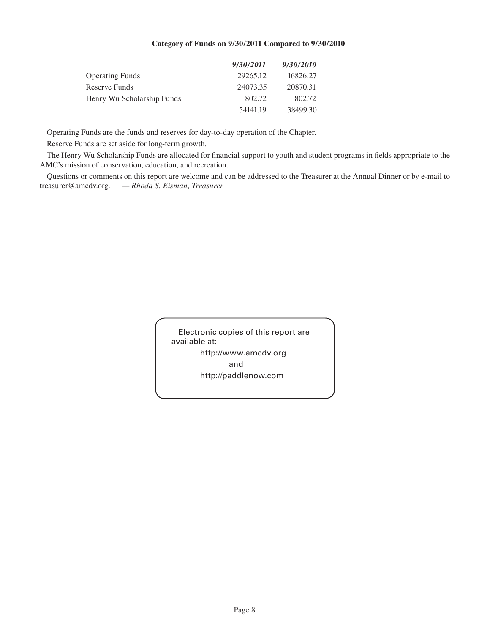## **Category of Funds on 9/30/2011 Compared to 9/30/2010**

|                            | 9/30/2011 | 9/30/2010 |
|----------------------------|-----------|-----------|
| <b>Operating Funds</b>     | 29265.12  | 16826.27  |
| Reserve Funds              | 24073.35  | 20870.31  |
| Henry Wu Scholarship Funds | 802.72    | 802.72    |
|                            | 54141.19  | 38499.30  |

Operating Funds are the funds and reserves for day-to-day operation of the Chapter.

Reserve Funds are set aside for long-term growth.

The Henry Wu Scholarship Funds are allocated for financial support to youth and student programs in fields appropriate to the AMC's mission of conservation, education, and recreation.

Questions or comments on this report are welcome and can be addressed to the Treasurer at the Annual Dinner or by e-mail to treasurer@amcdv.org. *— Rhoda S. Eisman, Treasurer*

> Electronic copies of this report are available at: http://www.amcdv.org and http://paddlenow.com